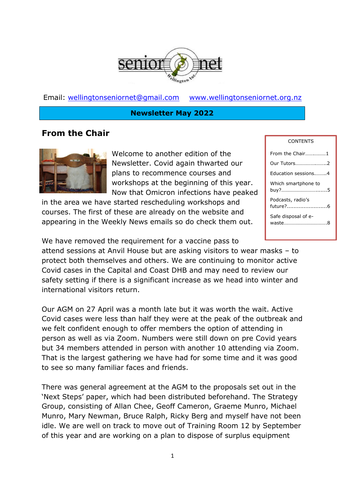

Email: [wellingtonseniornet@gmail.com](mailto:wellingtonseniornet@gmail.com) [www.wellingtonseniornet.org.nz](http://www.wellingtonseniornet.org.nz/)

#### **Newsletter May 2022**

# **From the Chair**



Welcome to another edition of the Newsletter. Covid again thwarted our plans to recommence courses and workshops at the beginning of this year. Now that Omicron infections have peaked

in the area we have started rescheduling workshops and courses. The first of these are already on the website and appearing in the Weekly News emails so do check them out.

We have removed the requirement for a vaccine pass to attend sessions at Anvil House but are asking visitors to wear masks – to protect both themselves and others. We are continuing to monitor active Covid cases in the Capital and Coast DHB and may need to review our safety setting if there is a significant increase as we head into winter and international visitors return.

Our AGM on 27 April was a month late but it was worth the wait. Active Covid cases were less than half they were at the peak of the outbreak and we felt confident enough to offer members the option of attending in person as well as via Zoom. Numbers were still down on pre Covid years but 34 members attended in person with another 10 attending via Zoom. That is the largest gathering we have had for some time and it was good to see so many familiar faces and friends.

There was general agreement at the AGM to the proposals set out in the 'Next Steps' paper, which had been distributed beforehand. The Strategy Group, consisting of Allan Chee, Geoff Cameron, Graeme Munro, Michael Munro, Mary Newman, Bruce Ralph, Ricky Berg and myself have not been idle. We are well on track to move out of Training Room 12 by September of this year and are working on a plan to dispose of surplus equipment

### **CONTENTS** From the Chair…….………1 Our Tutors…………….……..2 Education sessions.……..4 Which smartphone to buy?……………………….......5 Podcasts, radio's future?........................6 Safe disposal of ewaste…………………………….8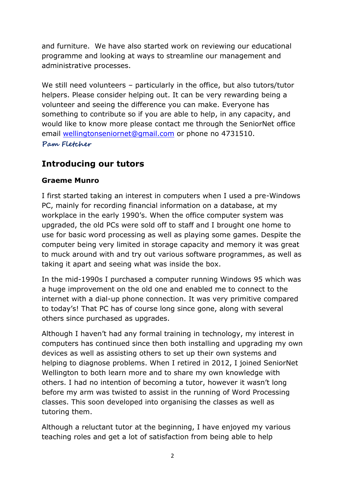and furniture. We have also started work on reviewing our educational programme and looking at ways to streamline our management and administrative processes.

We still need volunteers - particularly in the office, but also tutors/tutor helpers. Please consider helping out. It can be very rewarding being a volunteer and seeing the difference you can make. Everyone has something to contribute so if you are able to help, in any capacity, and would like to know more please contact me through the SeniorNet office email [wellingtonseniornet@gmail.com](mailto:wellingtonseniornet@gmail.com) or phone no 4731510. **Pam Fletcher**

# **Introducing our tutors**

### **Graeme Munro**

I first started taking an interest in computers when I used a pre-Windows PC, mainly for recording financial information on a database, at my workplace in the early 1990's. When the office computer system was upgraded, the old PCs were sold off to staff and I brought one home to use for basic word processing as well as playing some games. Despite the computer being very limited in storage capacity and memory it was great to muck around with and try out various software programmes, as well as taking it apart and seeing what was inside the box.

In the mid-1990s I purchased a computer running Windows 95 which was a huge improvement on the old one and enabled me to connect to the internet with a dial-up phone connection. It was very primitive compared to today's! That PC has of course long since gone, along with several others since purchased as upgrades.

Although I haven't had any formal training in technology, my interest in computers has continued since then both installing and upgrading my own devices as well as assisting others to set up their own systems and helping to diagnose problems. When I retired in 2012, I joined SeniorNet Wellington to both learn more and to share my own knowledge with others. I had no intention of becoming a tutor, however it wasn't long before my arm was twisted to assist in the running of Word Processing classes. This soon developed into organising the classes as well as tutoring them.

Although a reluctant tutor at the beginning, I have enjoyed my various teaching roles and get a lot of satisfaction from being able to help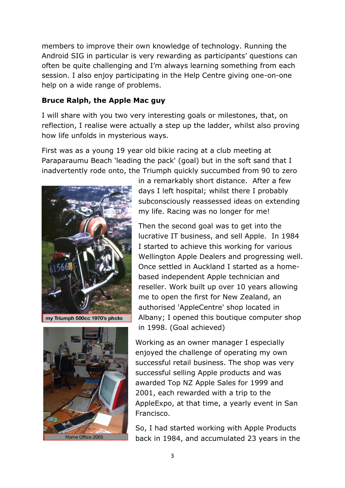members to improve their own knowledge of technology. Running the Android SIG in particular is very rewarding as participants' questions can often be quite challenging and I'm always learning something from each session. I also enjoy participating in the Help Centre giving one-on-one help on a wide range of problems.

### **Bruce Ralph, the Apple Mac guy**

I will share with you two very interesting goals or milestones, that, on reflection, I realise were actually a step up the ladder, whilst also proving how life unfolds in mysterious ways.

First was as a young 19 year old bikie racing at a club meeting at Paraparaumu Beach 'leading the pack' (goal) but in the soft sand that I inadvertently rode onto, the Triumph quickly succumbed from 90 to zero



my Triumph 500cc 1970's photo



in a remarkably short distance. After a few days I left hospital; whilst there I probably subconsciously reassessed ideas on extending my life. Racing was no longer for me!

Then the second goal was to get into the lucrative IT business, and sell Apple. In 1984 I started to achieve this working for various Wellington Apple Dealers and progressing well. Once settled in Auckland I started as a homebased independent Apple technician and reseller. Work built up over 10 years allowing me to open the first for New Zealand, an authorised 'AppleCentre' shop located in Albany; I opened this boutique computer shop in 1998. (Goal achieved)

Working as an owner manager I especially enjoyed the challenge of operating my own successful retail business. The shop was very successful selling Apple products and was awarded Top NZ Apple Sales for 1999 and 2001, each rewarded with a trip to the AppleExpo, at that time, a yearly event in San Francisco.

So, I had started working with Apple Products back in 1984, and accumulated 23 years in the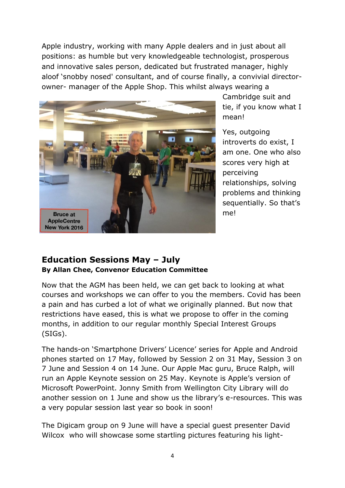Apple industry, working with many Apple dealers and in just about all positions: as humble but very knowledgeable technologist, prosperous and innovative sales person, dedicated but frustrated manager, highly aloof 'snobby nosed' consultant, and of course finally, a convivial directorowner- manager of the Apple Shop. This whilst always wearing a



Cambridge suit and tie, if you know what I mean!

Yes, outgoing introverts do exist, I am one. One who also scores very high at perceiving relationships, solving problems and thinking sequentially. So that's me!

### **Education Sessions May – July By Allan Chee, Convenor Education Committee**

Now that the AGM has been held, we can get back to looking at what courses and workshops we can offer to you the members. Covid has been a pain and has curbed a lot of what we originally planned. But now that restrictions have eased, this is what we propose to offer in the coming months, in addition to our regular monthly Special Interest Groups (SIGs).

The hands-on 'Smartphone Drivers' Licence' series for Apple and Android phones started on 17 May, followed by Session 2 on 31 May, Session 3 on 7 June and Session 4 on 14 June. Our Apple Mac guru, Bruce Ralph, will run an Apple Keynote session on 25 May. Keynote is Apple's version of Microsoft PowerPoint. Jonny Smith from Wellington City Library will do another session on 1 June and show us the library's e-resources. This was a very popular session last year so book in soon!

The Digicam group on 9 June will have a special guest presenter David Wilcox who will showcase some startling pictures featuring his light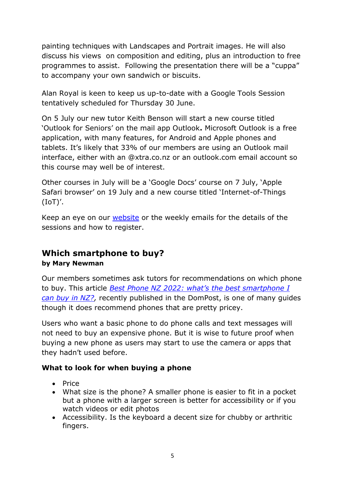painting techniques with Landscapes and Portrait images. He will also discuss his views on composition and editing, plus an introduction to free programmes to assist. Following the presentation there will be a "cuppa" to accompany your own sandwich or biscuits.

Alan Royal is keen to keep us up-to-date with a Google Tools Session tentatively scheduled for Thursday 30 June.

On 5 July our new tutor Keith Benson will start a new course titled 'Outlook for Seniors' on the mail app Outlook**.** Microsoft Outlook is a free application, with many features, for Android and Apple phones and tablets. It's likely that 33% of our members are using an Outlook mail interface, either with an @xtra.co.nz or an outlook.com email account so this course may well be of interest.

Other courses in July will be a 'Google Docs' course on 7 July, 'Apple Safari browser' on 19 July and a new course titled 'Internet-of-Things (IoT)'.

Keep an eye on our [website](https://www.wellingtonseniornet.co.nz/) or the weekly emails for the details of the sessions and how to register.

# **Which smartphone to buy? by Mary Newman**

Our members sometimes ask tutors for recommendations on which phone to buy. This article *[Best Phone NZ 2022: what's the best smartphone I](https://www.thebit.nz/best/best-phone-nz-2022/)  [can buy in NZ?,](https://www.thebit.nz/best/best-phone-nz-2022/)* recently published in the DomPost, is one of many guides though it does recommend phones that are pretty pricey.

Users who want a basic phone to do phone calls and text messages will not need to buy an expensive phone. But it is wise to future proof when buying a new phone as users may start to use the camera or apps that they hadn't used before.

### **What to look for when buying a phone**

- Price
- What size is the phone? A smaller phone is easier to fit in a pocket but a phone with a larger screen is better for accessibility or if you watch videos or edit photos
- Accessibility. Is the keyboard a decent size for chubby or arthritic fingers.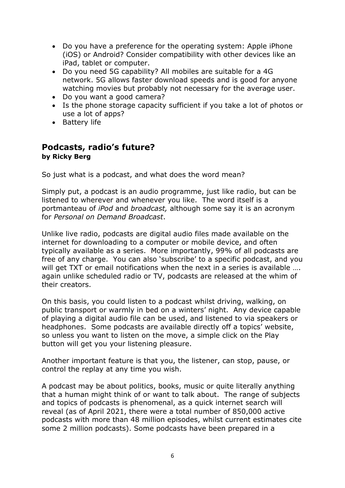- Do you have a preference for the operating system: Apple iPhone (iOS) or Android? Consider compatibility with other devices like an iPad, tablet or computer.
- Do you need 5G capability? All mobiles are suitable for a 4G network. 5G allows faster download speeds and is good for anyone watching movies but probably not necessary for the average user.
- Do you want a good camera?
- Is the phone storage capacity sufficient if you take a lot of photos or use a lot of apps?
- Battery life

# **Podcasts, radio's future? by Ricky Berg**

So just what is a podcast, and what does the word mean?

Simply put, a podcast is an audio programme, just like radio, but can be listened to wherever and whenever you like. The word itself is a portmanteau of *iPod* and *broadcast,* although some say it is an acronym for *Personal on Demand Broadcast*.

Unlike live radio, podcasts are digital audio files made available on the internet for downloading to a computer or mobile device, and often typically available as a series. More importantly, 99% of all podcasts are free of any charge. You can also 'subscribe' to a specific podcast, and you will get TXT or email notifications when the next in a series is available .... again unlike scheduled radio or TV, podcasts are released at the whim of their creators.

On this basis, you could listen to a podcast whilst driving, walking, on public transport or warmly in bed on a winters' night. Any device capable of playing a digital audio file can be used, and listened to via speakers or headphones. Some podcasts are available directly off a topics' website, so unless you want to listen on the move, a simple click on the Play button will get you your listening pleasure.

Another important feature is that you, the listener, can stop, pause, or control the replay at any time you wish.

A podcast may be about politics, books, music or quite literally anything that a human might think of or want to talk about. The range of subjects and topics of podcasts is phenomenal, as a quick internet search will reveal (as of April 2021, there were a total number of 850,000 active podcasts with more than 48 million episodes, whilst current estimates cite some 2 million podcasts). Some podcasts have been prepared in a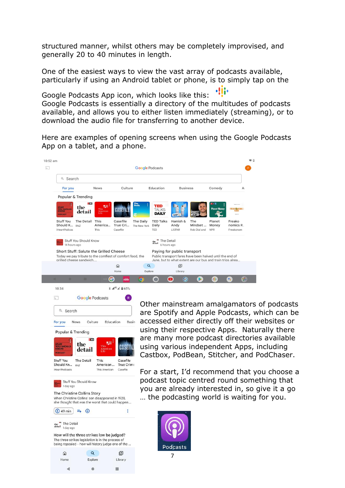structured manner, whilst others may be completely improvised, and generally 20 to 40 minutes in length.

One of the easiest ways to view the vast array of podcasts available, particularly if using an Android tablet or phone, is to simply tap on the

Google Podcasts App icon, which looks like this: Google Podcasts is essentially a directory of the multitudes of podcasts available, and allows you to either listen immediately (streaming), or to download the audio file for transferring to another device.

Here are examples of opening screens when using the Google Podcasts App on a tablet, and a phone.

| <b>Google Podcasts</b>                                                                                                         |                                               |                                  |                                     |                                            |                                                                                                                                                       |                                |                                     |                                  |
|--------------------------------------------------------------------------------------------------------------------------------|-----------------------------------------------|----------------------------------|-------------------------------------|--------------------------------------------|-------------------------------------------------------------------------------------------------------------------------------------------------------|--------------------------------|-------------------------------------|----------------------------------|
| Q Search                                                                                                                       |                                               |                                  |                                     |                                            |                                                                                                                                                       |                                |                                     |                                  |
| <b>News</b><br>For you                                                                                                         |                                               | Culture                          |                                     | Education<br><b>Business</b>               |                                                                                                                                                       |                                | Comedy                              | $\mathsf{A}$                     |
| Popular & Trending                                                                                                             |                                               |                                  |                                     |                                            |                                                                                                                                                       |                                |                                     |                                  |
| the<br><b>STUFF<br/>YOU SHOULD</b><br>detail<br><b>PODCAST</b>                                                                 | <b>E RNZ</b><br>≌<br>This<br>American<br>Life |                                  | The<br>Daily<br>$\overline{\alpha}$ | <b>TED</b><br><b>TALKS</b><br><b>DAILY</b> |                                                                                                                                                       |                                | <b>DIP F</b><br><b>Planet Money</b> |                                  |
| Stuff You<br>The Detail<br>Should K<br>RN7<br><b>iHeartPodcas</b>                                                              | This<br>America<br>This                       | Casefile<br>True Cri<br>Casefile | The Daily<br>The New York           | <b>TED Talks</b><br>Daily<br>TED           | Hamish &<br>Andy<br>LISTNR                                                                                                                            | The<br>Mindset<br>Rob Dial and | Planet<br>Money<br><b>NPR</b>       | Freako<br>nomics R.<br>Freakonom |
| Stuff You Should Know<br>14 hours ago                                                                                          |                                               |                                  |                                     | "The Detail<br>detail<br>6 hours ago       |                                                                                                                                                       |                                |                                     |                                  |
| Short Stuff: Salute the Grilled Cheese<br>Today we pay tribute to the comfiest of comfort food, the<br>grilled cheese sandwich |                                               |                                  |                                     |                                            | Paying for public transport<br>Public transport fares have been halved until the end of<br>June, but to what extent are our bus and train trips alrea |                                |                                     |                                  |
|                                                                                                                                |                                               | ⋒<br>Home                        | $\alpha$<br>Explore                 |                                            | 回<br>Library                                                                                                                                          |                                |                                     |                                  |



Other mainstream amalgamators of podcasts are Spotify and Apple Podcasts, which can be accessed either directly off their websites or using their respective Apps. Naturally there are many more podcast directories available using various independent Apps, including Castbox, PodBean, Stitcher, and PodChaser.

For a start, I'd recommend that you choose a podcast topic centred round something that you are already interested in, so give it a go … the podcasting world is waiting for you.



The Christine Collins Story

When Christine Collins' son disappeared in 1928,

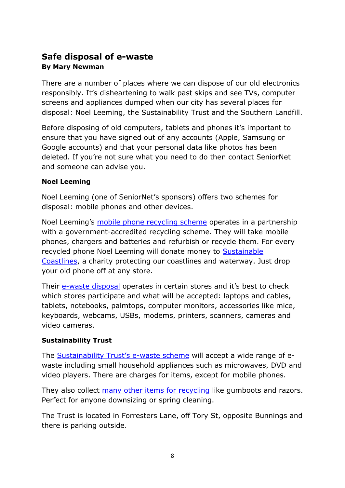# **Safe disposal of e-waste By Mary Newman**

There are a number of places where we can dispose of our old electronics responsibly. It's disheartening to walk past skips and see TVs, computer screens and appliances dumped when our city has several places for disposal: Noel Leeming, the Sustainability Trust and the Southern Landfill.

Before disposing of old computers, tablets and phones it's important to ensure that you have signed out of any accounts (Apple, Samsung or Google accounts) and that your personal data like photos has been deleted. If you're not sure what you need to do then contact SeniorNet and someone can advise you.

#### **Noel Leeming**

Noel Leeming (one of SeniorNet's sponsors) offers two schemes for disposal: mobile phones and other devices.

Noel Leeming's [mobile phone recycling scheme](https://www.noelleeming.co.nz/remobile) operates in a partnership with a government-accredited recycling scheme. They will take mobile phones, chargers and batteries and refurbish or recycle them. For every recycled phone Noel Leeming will donate money to [Sustainable](https://sustainablecoastlines.org/)  [Coastlines,](https://sustainablecoastlines.org/) a charity protecting our coastlines and waterway. Just drop your old phone off at any store.

Their [e-waste disposal](https://www.noelleeming.co.nz/services-ewaste) operates in certain stores and it's best to check which stores participate and what will be accepted: laptops and cables, tablets, notebooks, palmtops, computer monitors, accessories like mice, keyboards, webcams, USBs, modems, printers, scanners, cameras and video cameras.

### **Sustainability Trust**

The [Sustainability Trust's e](https://sustaintrust.org.nz/our-recycling-programmes/e-waste-wellington)-waste scheme will accept a wide range of ewaste including small household appliances such as microwaves, DVD and video players. There are charges for items, except for mobile phones.

They also collect [many other items for recycling](https://sustaintrust.org.nz/our-recycling-programmes) like gumboots and razors. Perfect for anyone downsizing or spring cleaning.

The Trust is located in Forresters Lane, off Tory St, opposite Bunnings and there is parking outside.